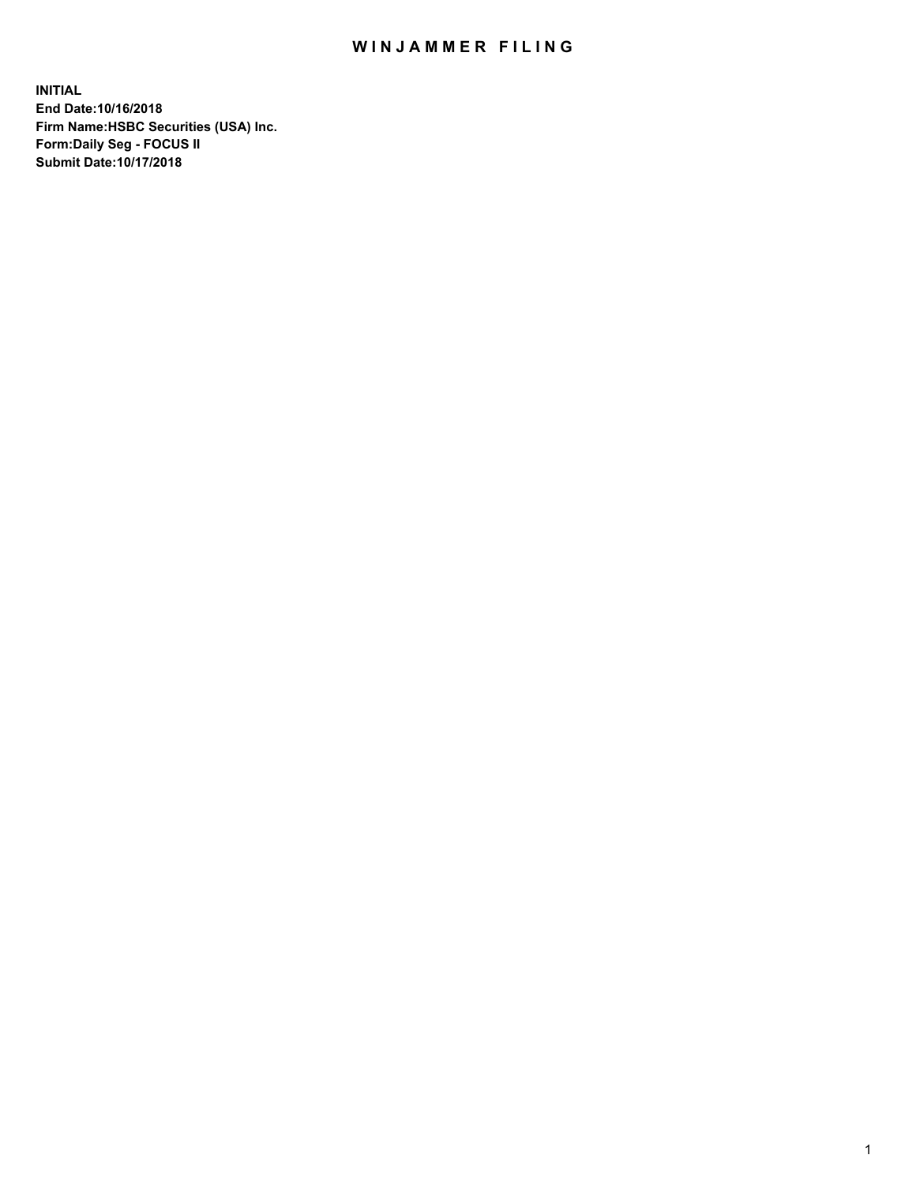## WIN JAMMER FILING

**INITIAL End Date:10/16/2018 Firm Name:HSBC Securities (USA) Inc. Form:Daily Seg - FOCUS II Submit Date:10/17/2018**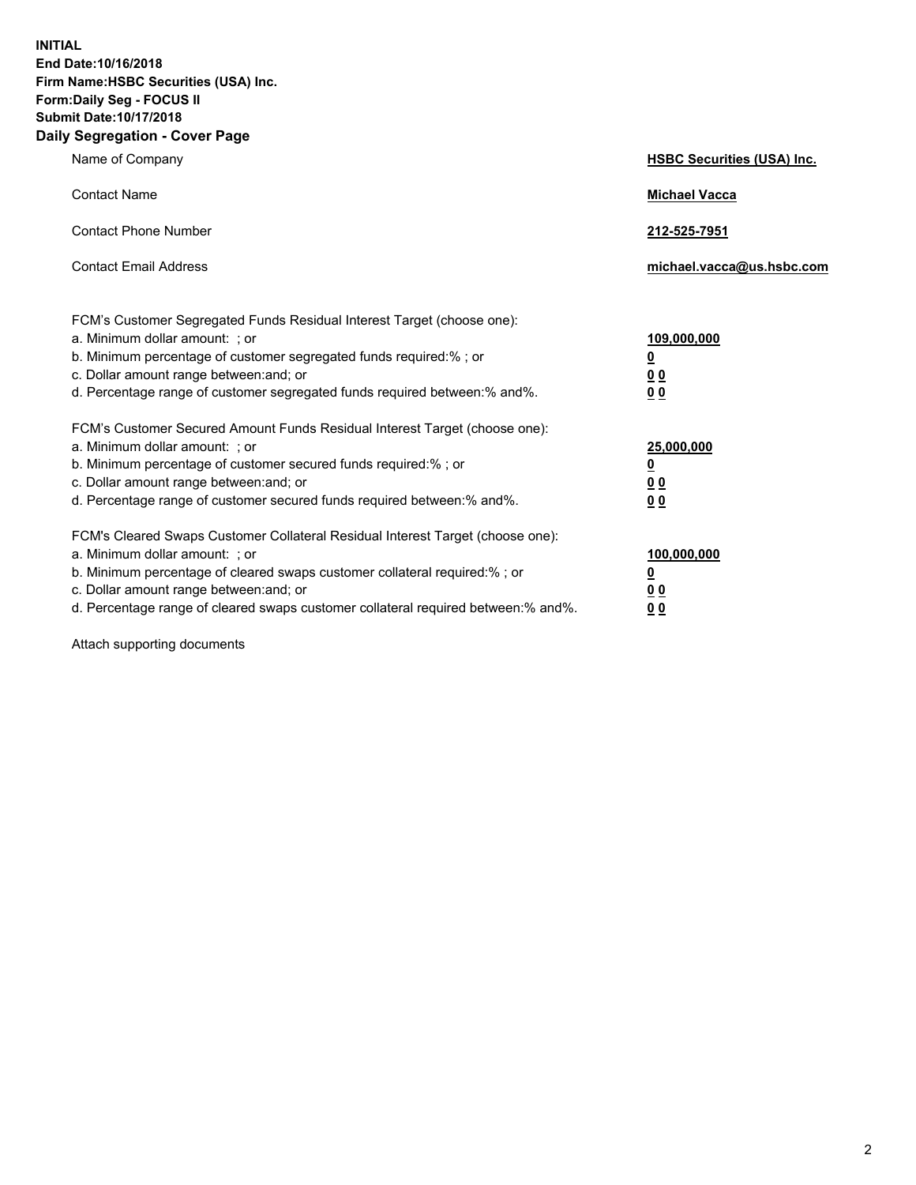**INITIAL End Date:10/16/2018 Firm Name:HSBC Securities (USA) Inc. Form:Daily Seg - FOCUS II Submit Date:10/17/2018 Daily Segregation - Cover Page**

| Name of Company                                                                                                                                                                                                                                                                                                                | <b>HSBC Securities (USA) Inc.</b>                                          |
|--------------------------------------------------------------------------------------------------------------------------------------------------------------------------------------------------------------------------------------------------------------------------------------------------------------------------------|----------------------------------------------------------------------------|
| <b>Contact Name</b>                                                                                                                                                                                                                                                                                                            | <b>Michael Vacca</b>                                                       |
| <b>Contact Phone Number</b>                                                                                                                                                                                                                                                                                                    | 212-525-7951                                                               |
| <b>Contact Email Address</b>                                                                                                                                                                                                                                                                                                   | michael.vacca@us.hsbc.com                                                  |
| FCM's Customer Segregated Funds Residual Interest Target (choose one):<br>a. Minimum dollar amount: : or<br>b. Minimum percentage of customer segregated funds required:% ; or<br>c. Dollar amount range between: and; or<br>d. Percentage range of customer segregated funds required between:% and%.                         | 109,000,000<br>$\overline{\mathbf{0}}$<br>0 <sub>0</sub><br>0 <sub>0</sub> |
| FCM's Customer Secured Amount Funds Residual Interest Target (choose one):<br>a. Minimum dollar amount: ; or<br>b. Minimum percentage of customer secured funds required:%; or<br>c. Dollar amount range between: and; or<br>d. Percentage range of customer secured funds required between:% and%.                            | 25,000,000<br><u>0</u><br>0 <sub>0</sub><br>00                             |
| FCM's Cleared Swaps Customer Collateral Residual Interest Target (choose one):<br>a. Minimum dollar amount: ; or<br>b. Minimum percentage of cleared swaps customer collateral required:% ; or<br>c. Dollar amount range between: and; or<br>d. Percentage range of cleared swaps customer collateral required between:% and%. | 100,000,000<br><u>0</u><br>00<br>0 <sub>0</sub>                            |

Attach supporting documents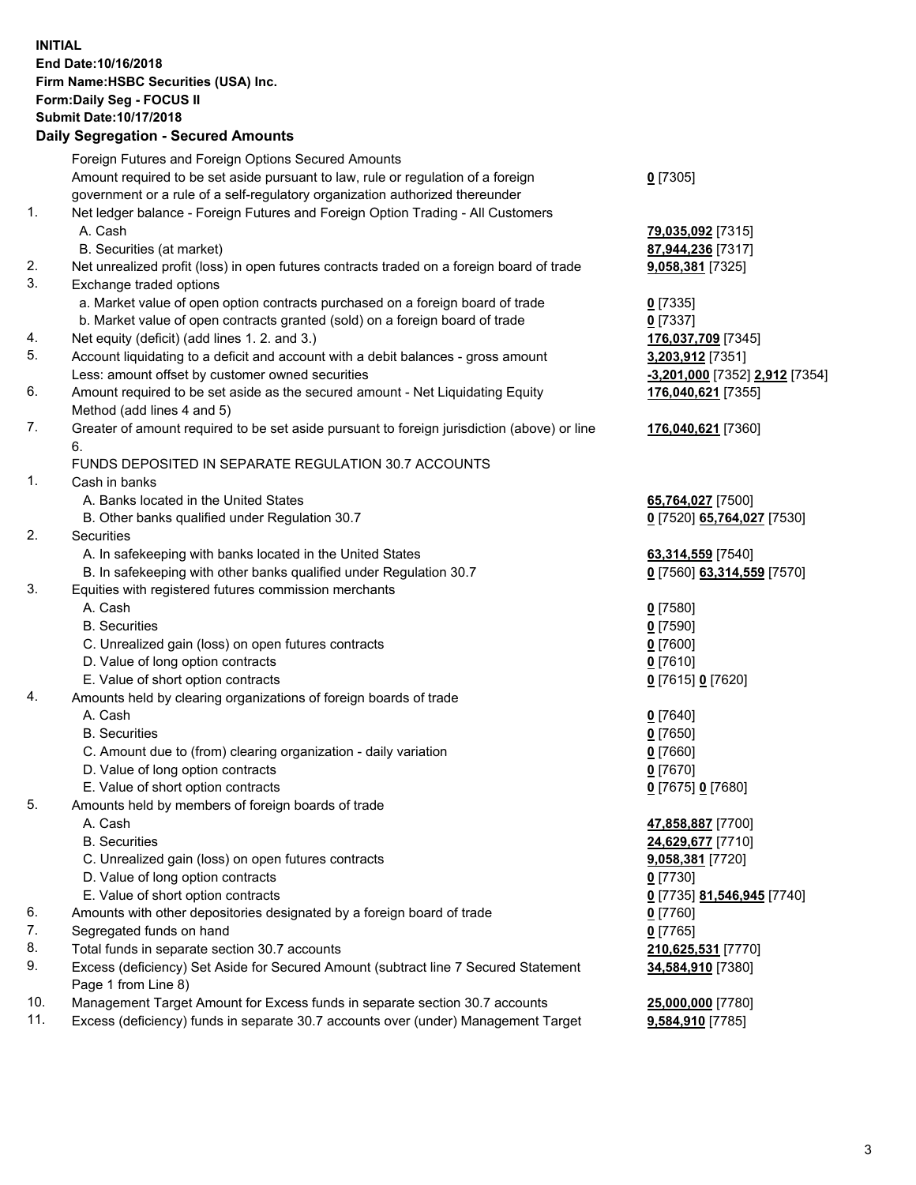**INITIAL End Date:10/16/2018 Firm Name:HSBC Securities (USA) Inc. Form:Daily Seg - FOCUS II Submit Date:10/17/2018 Daily Segregation - Secured Amounts** Foreign Futures and Foreign Options Secured Amounts Amount required to be set aside pursuant to law, rule or regulation of a foreign government or a rule of a self-regulatory organization authorized thereunder

## 1. Net ledger balance - Foreign Futures and Foreign Option Trading - All Customers A. Cash **79,035,092** [7315]

- B. Securities (at market) **87,944,236** [7317]
- 2. Net unrealized profit (loss) in open futures contracts traded on a foreign board of trade **9,058,381** [7325]
- 3. Exchange traded options
	- a. Market value of open option contracts purchased on a foreign board of trade **0** [7335]
	- b. Market value of open contracts granted (sold) on a foreign board of trade **0** [7337]
- 4. Net equity (deficit) (add lines 1. 2. and 3.) **176,037,709** [7345]
- 5. Account liquidating to a deficit and account with a debit balances gross amount **3,203,912** [7351] Less: amount offset by customer owned securities **-3,201,000** [7352] **2,912** [7354]
- 6. Amount required to be set aside as the secured amount Net Liquidating Equity Method (add lines 4 and 5)
- 7. Greater of amount required to be set aside pursuant to foreign jurisdiction (above) or line 6.

## FUNDS DEPOSITED IN SEPARATE REGULATION 30.7 ACCOUNTS

- 1. Cash in banks
	- A. Banks located in the United States **65,764,027** [7500]
	- B. Other banks qualified under Regulation 30.7 **0** [7520] **65,764,027** [7530]
- 2. Securities
	- A. In safekeeping with banks located in the United States **63,314,559** [7540]
	- B. In safekeeping with other banks qualified under Regulation 30.7 **0** [7560] **63,314,559** [7570]
- 3. Equities with registered futures commission merchants
	- A. Cash **0** [7580]
	- B. Securities **0** [7590]
	- C. Unrealized gain (loss) on open futures contracts **0** [7600]
	- D. Value of long option contracts **0** [7610]
	- E. Value of short option contracts **0** [7615] **0** [7620]
- 4. Amounts held by clearing organizations of foreign boards of trade
	- A. Cash **0** [7640]
	- B. Securities **0** [7650]
	- C. Amount due to (from) clearing organization daily variation **0** [7660]
	- D. Value of long option contracts **0** [7670]
	- E. Value of short option contracts **0** [7675] **0** [7680]
- 5. Amounts held by members of foreign boards of trade
	-
	-
	- C. Unrealized gain (loss) on open futures contracts **9,058,381** [7720]
	- D. Value of long option contracts **0** [7730]
	- E. Value of short option contracts **0** [7735] **81,546,945** [7740]
- 6. Amounts with other depositories designated by a foreign board of trade **0** [7760]
- 7. Segregated funds on hand **0** [7765]
- 8. Total funds in separate section 30.7 accounts **210,625,531** [7770]
- 9. Excess (deficiency) Set Aside for Secured Amount (subtract line 7 Secured Statement Page 1 from Line 8)
- 10. Management Target Amount for Excess funds in separate section 30.7 accounts **25,000,000** [7780]
- 11. Excess (deficiency) funds in separate 30.7 accounts over (under) Management Target **9,584,910** [7785]
- **0** [7305]
- 
- **176,040,621** [7355]
- **176,040,621** [7360]
- 
- -
	-
- A. Cash **47,858,887** [7700] B. Securities **24,629,677** [7710] **34,584,910** [7380]
	-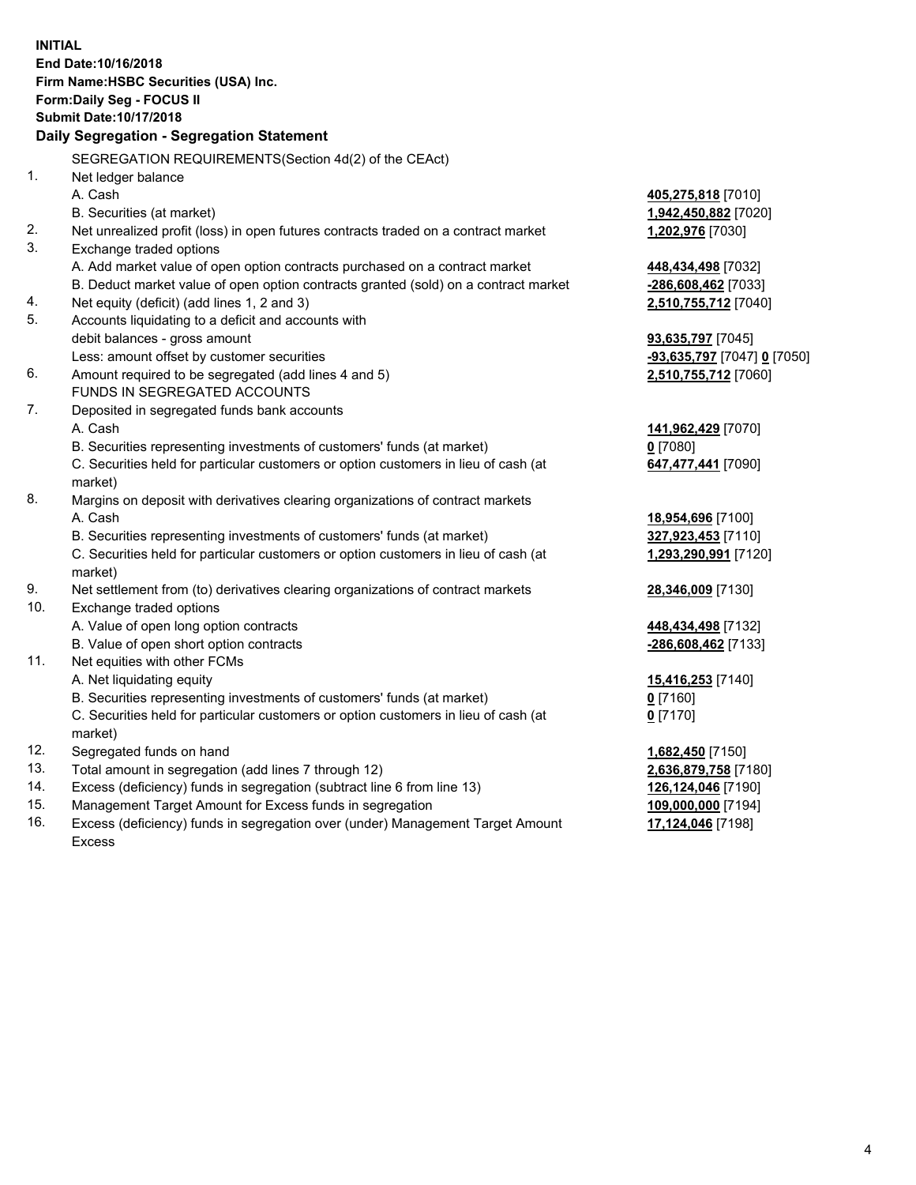**INITIAL End Date:10/16/2018 Firm Name:HSBC Securities (USA) Inc. Form:Daily Seg - FOCUS II Submit Date:10/17/2018 Daily Segregation - Segregation Statement** SEGREGATION REQUIREMENTS(Section 4d(2) of the CEAct) 1. Net ledger balance A. Cash **405,275,818** [7010] B. Securities (at market) **1,942,450,882** [7020] 2. Net unrealized profit (loss) in open futures contracts traded on a contract market **1,202,976** [7030] 3. Exchange traded options A. Add market value of open option contracts purchased on a contract market **448,434,498** [7032] B. Deduct market value of open option contracts granted (sold) on a contract market **-286,608,462** [7033] 4. Net equity (deficit) (add lines 1, 2 and 3) **2,510,755,712** [7040] 5. Accounts liquidating to a deficit and accounts with debit balances - gross amount **93,635,797** [7045] Less: amount offset by customer securities **-93,635,797** [7047] **0** [7050] 6. Amount required to be segregated (add lines 4 and 5) **2,510,755,712** [7060] FUNDS IN SEGREGATED ACCOUNTS 7. Deposited in segregated funds bank accounts A. Cash **141,962,429** [7070] B. Securities representing investments of customers' funds (at market) **0** [7080] C. Securities held for particular customers or option customers in lieu of cash (at market) **647,477,441** [7090] 8. Margins on deposit with derivatives clearing organizations of contract markets A. Cash **18,954,696** [7100] B. Securities representing investments of customers' funds (at market) **327,923,453** [7110] C. Securities held for particular customers or option customers in lieu of cash (at market) **1,293,290,991** [7120] 9. Net settlement from (to) derivatives clearing organizations of contract markets **28,346,009** [7130] 10. Exchange traded options A. Value of open long option contracts **448,434,498** [7132] B. Value of open short option contracts **-286,608,462** [7133] 11. Net equities with other FCMs A. Net liquidating equity **15,416,253** [7140] B. Securities representing investments of customers' funds (at market) **0** [7160] C. Securities held for particular customers or option customers in lieu of cash (at market) **0** [7170] 12. Segregated funds on hand **1,682,450** [7150] 13. Total amount in segregation (add lines 7 through 12) **2,636,879,758** [7180] 14. Excess (deficiency) funds in segregation (subtract line 6 from line 13) **126,124,046** [7190] 15. Management Target Amount for Excess funds in segregation **109,000,000** [7194] 16. Excess (deficiency) funds in segregation over (under) Management Target Amount **17,124,046** [7198]

Excess